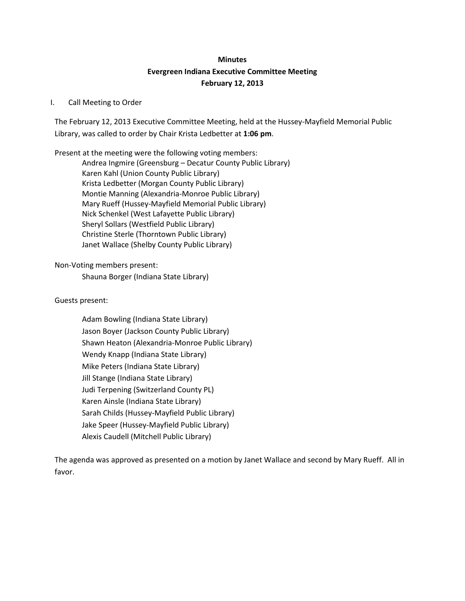# **Minutes Evergreen Indiana Executive Committee Meeting February 12, 2013**

## I. Call Meeting to Order

The February 12, 2013 Executive Committee Meeting, held at the Hussey-Mayfield Memorial Public Library, was called to order by Chair Krista Ledbetter at **1:06 pm**.

Present at the meeting were the following voting members: Andrea Ingmire (Greensburg – Decatur County Public Library) Karen Kahl (Union County Public Library) Krista Ledbetter (Morgan County Public Library) Montie Manning (Alexandria-Monroe Public Library) Mary Rueff (Hussey-Mayfield Memorial Public Library) Nick Schenkel (West Lafayette Public Library) Sheryl Sollars (Westfield Public Library) Christine Sterle (Thorntown Public Library) Janet Wallace (Shelby County Public Library)

Non-Voting members present:

Shauna Borger (Indiana State Library)

Guests present:

Adam Bowling (Indiana State Library) Jason Boyer (Jackson County Public Library) Shawn Heaton (Alexandria-Monroe Public Library) Wendy Knapp (Indiana State Library) Mike Peters (Indiana State Library) Jill Stange (Indiana State Library) Judi Terpening (Switzerland County PL) Karen Ainsle (Indiana State Library) Sarah Childs (Hussey-Mayfield Public Library) Jake Speer (Hussey-Mayfield Public Library) Alexis Caudell (Mitchell Public Library)

The agenda was approved as presented on a motion by Janet Wallace and second by Mary Rueff. All in favor.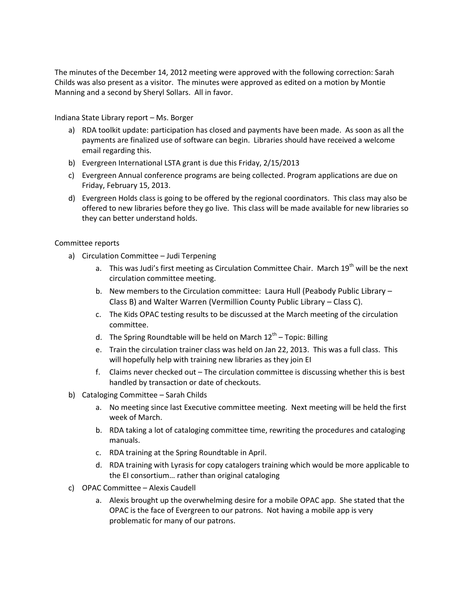The minutes of the December 14, 2012 meeting were approved with the following correction: Sarah Childs was also present as a visitor. The minutes were approved as edited on a motion by Montie Manning and a second by Sheryl Sollars. All in favor.

Indiana State Library report – Ms. Borger

- a) RDA toolkit update: participation has closed and payments have been made. As soon as all the payments are finalized use of software can begin. Libraries should have received a welcome email regarding this.
- b) Evergreen International LSTA grant is due this Friday, 2/15/2013
- c) Evergreen Annual conference programs are being collected. Program applications are due on Friday, February 15, 2013.
- d) Evergreen Holds class is going to be offered by the regional coordinators. This class may also be offered to new libraries before they go live. This class will be made available for new libraries so they can better understand holds.

#### Committee reports

- a) Circulation Committee Judi Terpening
	- a. This was Judi's first meeting as Circulation Committee Chair. March 19<sup>th</sup> will be the next circulation committee meeting.
	- b. New members to the Circulation committee: Laura Hull (Peabody Public Library Class B) and Walter Warren (Vermillion County Public Library – Class C).
	- c. The Kids OPAC testing results to be discussed at the March meeting of the circulation committee.
	- d. The Spring Roundtable will be held on March  $12^{th}$  Topic: Billing
	- e. Train the circulation trainer class was held on Jan 22, 2013. This was a full class. This will hopefully help with training new libraries as they join EI
	- f. Claims never checked out The circulation committee is discussing whether this is best handled by transaction or date of checkouts.
- b) Cataloging Committee Sarah Childs
	- a. No meeting since last Executive committee meeting. Next meeting will be held the first week of March.
	- b. RDA taking a lot of cataloging committee time, rewriting the procedures and cataloging manuals.
	- c. RDA training at the Spring Roundtable in April.
	- d. RDA training with Lyrasis for copy catalogers training which would be more applicable to the EI consortium… rather than original cataloging
- c) OPAC Committee Alexis Caudell
	- a. Alexis brought up the overwhelming desire for a mobile OPAC app. She stated that the OPAC is the face of Evergreen to our patrons. Not having a mobile app is very problematic for many of our patrons.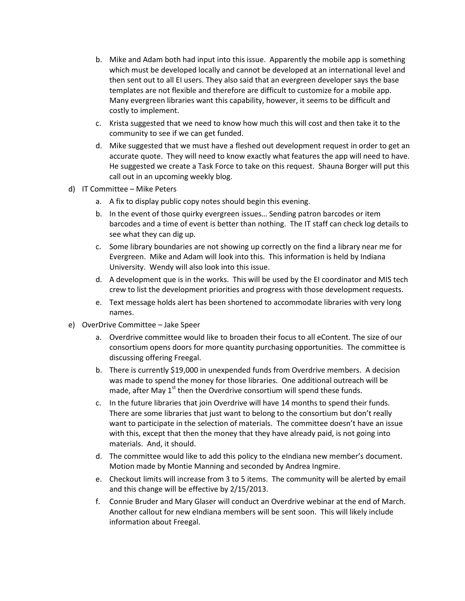- b. Mike and Adam both had input into this issue. Apparently the mobile app is something which must be developed locally and cannot be developed at an international level and then sent out to all EI users. They also said that an evergreen developer says the base templates are not flexible and therefore are difficult to customize for a mobile app. Many evergreen libraries want this capability, however, it seems to be difficult and costly to implement.
- c. Krista suggested that we need to know how much this will cost and then take it to the community to see if we can get funded.
- d. Mike suggested that we must have a fleshed out development request in order to get an accurate quote. They will need to know exactly what features the app will need to have. He suggested we create a Task Force to take on this request. Shauna Borger will put this call out in an upcoming weekly blog.
- d) IT Committee Mike Peters
	- a. A fix to display public copy notes should begin this evening.
	- b. In the event of those quirky evergreen issues… Sending patron barcodes or item barcodes and a time of event is better than nothing. The IT staff can check log details to see what they can dig up.
	- c. Some library boundaries are not showing up correctly on the find a library near me for Evergreen. Mike and Adam will look into this. This information is held by Indiana University. Wendy will also look into this issue.
	- d. A development que is in the works. This will be used by the EI coordinator and MIS tech crew to list the development priorities and progress with those development requests.
	- e. Text message holds alert has been shortened to accommodate libraries with very long names.
- e) OverDrive Committee Jake Speer
	- a. Overdrive committee would like to broaden their focus to all eContent. The size of our consortium opens doors for more quantity purchasing opportunities. The committee is discussing offering Freegal.
	- b. There is currently \$19,000 in unexpended funds from Overdrive members. A decision was made to spend the money for those libraries. One additional outreach will be made, after May  $1<sup>st</sup>$  then the Overdrive consortium will spend these funds.
	- c. In the future libraries that join Overdrive will have 14 months to spend their funds. There are some libraries that just want to belong to the consortium but don't really want to participate in the selection of materials. The committee doesn't have an issue with this, except that then the money that they have already paid, is not going into materials. And, it should.
	- d. The committee would like to add this policy to the eIndiana new member's document. Motion made by Montie Manning and seconded by Andrea Ingmire.
	- e. Checkout limits will increase from 3 to 5 items. The community will be alerted by email and this change will be effective by 2/15/2013.
	- f. Connie Bruder and Mary Glaser will conduct an Overdrive webinar at the end of March. Another callout for new eIndiana members will be sent soon. This will likely include information about Freegal.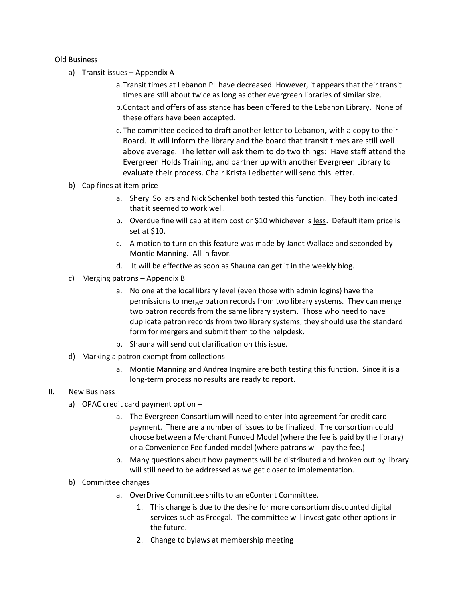#### Old Business

- a) Transit issues Appendix A
	- a.Transit times at Lebanon PL have decreased. However, it appears that their transit times are still about twice as long as other evergreen libraries of similar size.
	- b.Contact and offers of assistance has been offered to the Lebanon Library. None of these offers have been accepted.
	- c. The committee decided to draft another letter to Lebanon, with a copy to their Board. It will inform the library and the board that transit times are still well above average. The letter will ask them to do two things: Have staff attend the Evergreen Holds Training, and partner up with another Evergreen Library to evaluate their process. Chair Krista Ledbetter will send this letter.
- b) Cap fines at item price
	- a. Sheryl Sollars and Nick Schenkel both tested this function. They both indicated that it seemed to work well.
	- b. Overdue fine will cap at item cost or \$10 whichever is less. Default item price is set at \$10.
	- c. A motion to turn on this feature was made by Janet Wallace and seconded by Montie Manning. All in favor.
	- d. It will be effective as soon as Shauna can get it in the weekly blog.
- c) Merging patrons Appendix B
	- a. No one at the local library level (even those with admin logins) have the permissions to merge patron records from two library systems. They can merge two patron records from the same library system. Those who need to have duplicate patron records from two library systems; they should use the standard form for mergers and submit them to the helpdesk.
	- b. Shauna will send out clarification on this issue.
- d) Marking a patron exempt from collections
	- a. Montie Manning and Andrea Ingmire are both testing this function. Since it is a long-term process no results are ready to report.

## II. New Business

- a) OPAC credit card payment option
	- a. The Evergreen Consortium will need to enter into agreement for credit card payment. There are a number of issues to be finalized. The consortium could choose between a Merchant Funded Model (where the fee is paid by the library) or a Convenience Fee funded model (where patrons will pay the fee.)
	- b. Many questions about how payments will be distributed and broken out by library will still need to be addressed as we get closer to implementation.
- b) Committee changes
	- a. OverDrive Committee shifts to an eContent Committee.
		- 1. This change is due to the desire for more consortium discounted digital services such as Freegal. The committee will investigate other options in the future.
		- 2. Change to bylaws at membership meeting